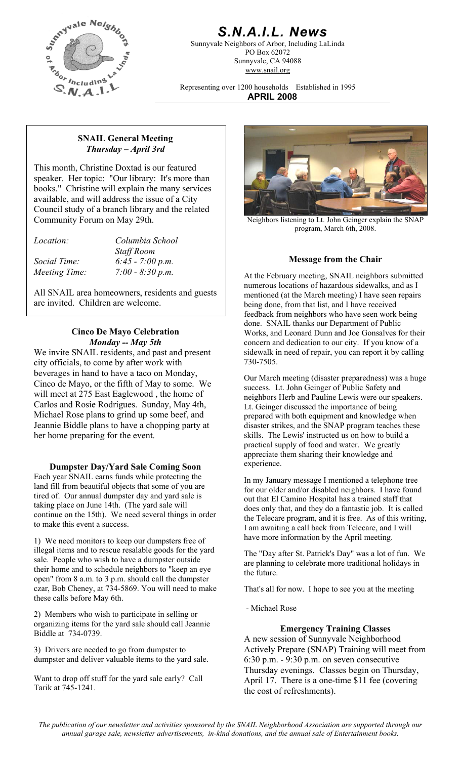

# *S.N.A.I.L. News*

Sunnyvale Neighbors of Arbor, Including LaLinda PO Box 62072 Sunnyvale, CA 94088 www.snail.org

Representing over 1200 households Established in 1995 **APRIL 2008**

#### **SNAIL General Meeting**  *Thursday – April 3rd*

This month, Christine Doxtad is our featured speaker. Her topic: "Our library: It's more than books." Christine will explain the many services available, and will address the issue of a City Council study of a branch library and the related Community Forum on May 29th.

*Location: Columbia School* 

 *Staff Room* 

All SNAIL area homeowners, residents and guests are invited. Children are welcome.

### **Cinco De Mayo Celebration**  *Monday -- May 5th*

We invite SNAIL residents, and past and present city officials, to come by after work with beverages in hand to have a taco on Monday, Cinco de Mayo, or the fifth of May to some. We will meet at 275 East Eaglewood , the home of Carlos and Rosie Rodrigues. Sunday, May 4th, Michael Rose plans to grind up some beef, and Jeannie Biddle plans to have a chopping party at her home preparing for the event.

## experience. **Dumpster Day/Yard Sale Coming Soon**

Each year SNAIL earns funds while protecting the land fill from beautiful objects that some of you are tired of. Our annual dumpster day and yard sale is taking place on June 14th. (The yard sale will continue on the 15th). We need several things in order to make this event a success.

have more information by the April meeting. 1) We need monitors to keep our dumpsters free of illegal items and to rescue resalable goods for the yard sale. People who wish to have a dumpster outside their home and to schedule neighbors to "keep an eye open" from 8 a.m. to 3 p.m. should call the dumpster czar, Bob Cheney, at 734-5869. You will need to make these calls before May 6th.

2) Members who wish to participate in selling or organizing items for the yard sale should call Jeannie Biddle at 734-0739. **Emergency Training Classes** 

3) Drivers are needed to go from dumpster to dumpster and deliver valuable items to the yard sale.

Want to drop off stuff for the yard sale early? Call Tarik at 745-1241.



Neighbors listening to Lt. John Geinger explain the SNAP program, March 6th, 2008.

## **Message from the Chair** *Social Time: 6:45 - 7:00 p.m.*

*Meeting Time:* 7:00 - 8:30 p.m. <br>At the February meeting, SNAIL neighbors submitted numerous locations of hazardous sidewalks, and as I mentioned (at the March meeting) I have seen repairs being done, from that list, and I have received feedback from neighbors who have seen work being done. SNAIL thanks our Department of Public Works, and Leonard Dunn and Joe Gonsalves for their concern and dedication to our city. If you know of a sidewalk in need of repair, you can report it by calling 730-7505.

> Our March meeting (disaster preparedness) was a huge success. Lt. John Geinger of Public Safety and neighbors Herb and Pauline Lewis were our speakers. Lt. Geinger discussed the importance of being prepared with both equipment and knowledge when disaster strikes, and the SNAP program teaches these skills. The Lewis' instructed us on how to build a practical supply of food and water. We greatly appreciate them sharing their knowledge and

> In my January message I mentioned a telephone tree for our older and/or disabled neighbors. I have found out that El Camino Hospital has a trained staff that does only that, and they do a fantastic job. It is called the Telecare program, and it is free. As of this writing, I am awaiting a call back from Telecare, and I will

> The "Day after St. Patrick's Day" was a lot of fun. We are planning to celebrate more traditional holidays in the future.

That's all for now. I hope to see you at the meeting

- Michael Rose

A new session of Sunnyvale Neighborhood Actively Prepare (SNAP) Training will meet from 6:30 p.m. - 9:30 p.m. on seven consecutive Thursday evenings. Classes begin on Thursday, April 17. There is a one-time \$11 fee (covering the cost of refreshments).

*The publication of our newsletter and activities sponsored by the SNAIL Neighborhood Association are supported through our annual garage sale, newsletter advertisements, in-kind donations, and the annual sale of Entertainment books.*